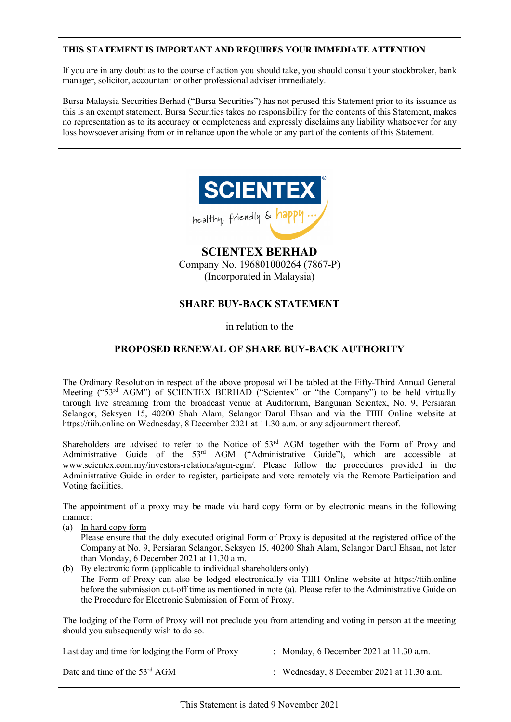# **THIS STATEMENT IS IMPORTANT AND REQUIRES YOUR IMMEDIATE ATTENTION**

If you are in any doubt as to the course of action you should take, you should consult your stockbroker, bank manager, solicitor, accountant or other professional adviser immediately.

Bursa Malaysia Securities Berhad ("Bursa Securities") has not perused this Statement prior to its issuance as this is an exempt statement. Bursa Securities takes no responsibility for the contents of this Statement, makes no representation as to its accuracy or completeness and expressly disclaims any liability whatsoever for any loss howsoever arising from or in reliance upon the whole or any part of the contents of this Statement.



# **SCIENTEX BERHAD**

Company No. 196801000264 (7867-P) (Incorporated in Malaysia)

# **SHARE BUY-BACK STATEMENT**

in relation to the

# **PROPOSED RENEWAL OF SHARE BUY-BACK AUTHORITY**

The Ordinary Resolution in respect of the above proposal will be tabled at the Fifty-Third Annual General Meeting ("53rd AGM") of SCIENTEX BERHAD ("Scientex" or "the Company") to be held virtually through live streaming from the broadcast venue at Auditorium, Bangunan Scientex, No. 9, Persiaran Selangor, Seksyen 15, 40200 Shah Alam, Selangor Darul Ehsan and via the TIIH Online website at https://tiih.online on Wednesday, 8 December 2021 at 11.30 a.m. or any adjournment thereof.

Shareholders are advised to refer to the Notice of 53<sup>rd</sup> AGM together with the Form of Proxy and Administrative Guide of the 53<sup>rd</sup> AGM ("Administrative Guide"), which are accessible at www.scientex.com.my/investors-relations/agm-egm/. Please follow the procedures provided in the Administrative Guide in order to register, participate and vote remotely via the Remote Participation and Voting facilities.

The appointment of a proxy may be made via hard copy form or by electronic means in the following manner:

- (a) In hard copy form Please ensure that the duly executed original Form of Proxy is deposited at the registered office of the Company at No. 9, Persiaran Selangor, Seksyen 15, 40200 Shah Alam, Selangor Darul Ehsan, not later than Monday, 6 December 2021 at 11.30 a.m.
- (b) By electronic form (applicable to individual shareholders only) The Form of Proxy can also be lodged electronically via TIIH Online website at https://tiih.online before the submission cut-off time as mentioned in note (a). Please refer to the Administrative Guide on the Procedure for Electronic Submission of Form of Proxy.

The lodging of the Form of Proxy will not preclude you from attending and voting in person at the meeting should you subsequently wish to do so.

| Last day and time for lodging the Form of Proxy | : Monday, 6 December 2021 at $11.30$ a.m.    |
|-------------------------------------------------|----------------------------------------------|
| Date and time of the 53 <sup>rd</sup> AGM       | : Wednesday, 8 December 2021 at $11.30$ a.m. |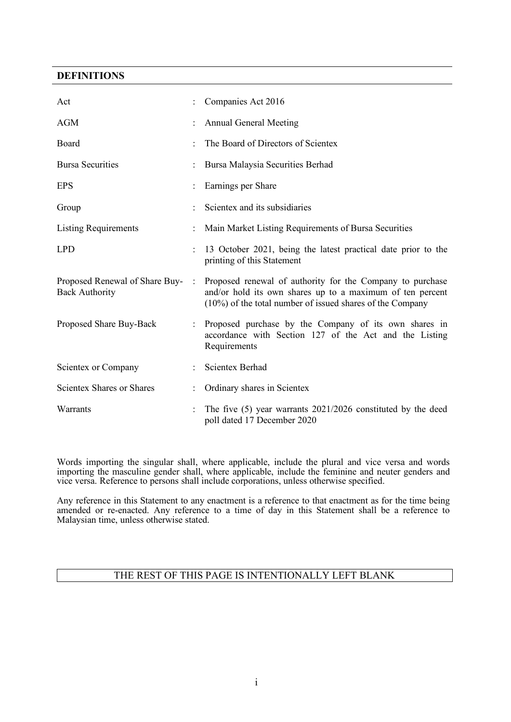## **DEFINITIONS**

| Act                                                     |           | Companies Act 2016                                                                                                                                                                  |
|---------------------------------------------------------|-----------|-------------------------------------------------------------------------------------------------------------------------------------------------------------------------------------|
| <b>AGM</b>                                              |           | <b>Annual General Meeting</b>                                                                                                                                                       |
| Board                                                   |           | The Board of Directors of Scientex                                                                                                                                                  |
| <b>Bursa Securities</b>                                 |           | Bursa Malaysia Securities Berhad                                                                                                                                                    |
| <b>EPS</b>                                              |           | Earnings per Share                                                                                                                                                                  |
| Group                                                   |           | Scientex and its subsidiaries                                                                                                                                                       |
| <b>Listing Requirements</b>                             |           | Main Market Listing Requirements of Bursa Securities                                                                                                                                |
| <b>LPD</b>                                              |           | 13 October 2021, being the latest practical date prior to the<br>printing of this Statement                                                                                         |
| Proposed Renewal of Share Buy-<br><b>Back Authority</b> | $\cdot$ : | Proposed renewal of authority for the Company to purchase<br>and/or hold its own shares up to a maximum of ten percent<br>(10%) of the total number of issued shares of the Company |
| Proposed Share Buy-Back                                 |           | Proposed purchase by the Company of its own shares in<br>accordance with Section 127 of the Act and the Listing<br>Requirements                                                     |
| Scientex or Company                                     |           | <b>Scientex Berhad</b>                                                                                                                                                              |
| <b>Scientex Shares or Shares</b>                        |           | Ordinary shares in Scientex                                                                                                                                                         |
| Warrants                                                |           | The five $(5)$ year warrants 2021/2026 constituted by the deed<br>poll dated 17 December 2020                                                                                       |

Words importing the singular shall, where applicable, include the plural and vice versa and words importing the masculine gender shall, where applicable, include the feminine and neuter genders and vice versa. Reference to persons shall include corporations, unless otherwise specified.

Any reference in this Statement to any enactment is a reference to that enactment as for the time being amended or re-enacted. Any reference to a time of day in this Statement shall be a reference to Malaysian time, unless otherwise stated.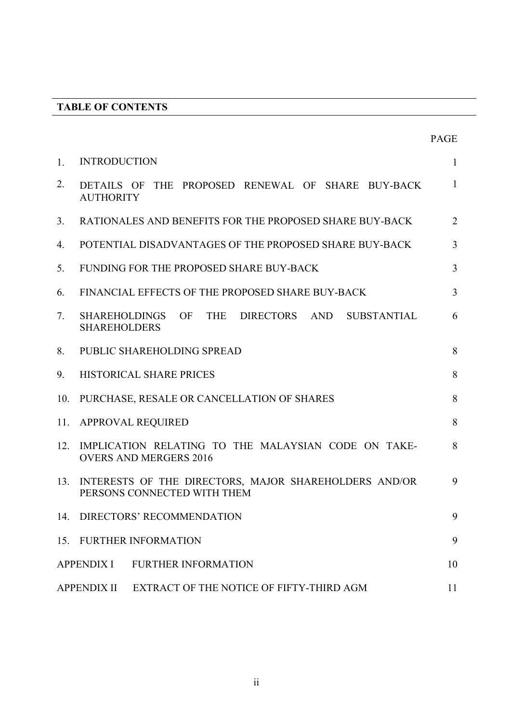# **TABLE OF CONTENTS**

|                |                                                                                                           | <b>PAGE</b>    |  |  |  |
|----------------|-----------------------------------------------------------------------------------------------------------|----------------|--|--|--|
| $\mathbf{1}$ . | <b>INTRODUCTION</b>                                                                                       | $\mathbf{1}$   |  |  |  |
| 2.             | DETAILS OF THE PROPOSED RENEWAL OF SHARE BUY-BACK<br><b>AUTHORITY</b>                                     | $\mathbf{1}$   |  |  |  |
| 3.             | RATIONALES AND BENEFITS FOR THE PROPOSED SHARE BUY-BACK                                                   | $\overline{2}$ |  |  |  |
| 4.             | POTENTIAL DISADVANTAGES OF THE PROPOSED SHARE BUY-BACK                                                    | $\overline{3}$ |  |  |  |
| 5.             | FUNDING FOR THE PROPOSED SHARE BUY-BACK                                                                   | $\overline{3}$ |  |  |  |
| 6.             | FINANCIAL EFFECTS OF THE PROPOSED SHARE BUY-BACK                                                          | $\overline{3}$ |  |  |  |
| 7.             | SHAREHOLDINGS<br>OF<br><b>THE</b><br><b>DIRECTORS</b><br>AND<br><b>SUBSTANTIAL</b><br><b>SHAREHOLDERS</b> | 6              |  |  |  |
| 8.             | PUBLIC SHAREHOLDING SPREAD                                                                                | 8              |  |  |  |
| 9.             | HISTORICAL SHARE PRICES                                                                                   | 8              |  |  |  |
| 10.            | PURCHASE, RESALE OR CANCELLATION OF SHARES                                                                | 8              |  |  |  |
| 11.            | APPROVAL REQUIRED                                                                                         | 8              |  |  |  |
| 12.            | IMPLICATION RELATING TO THE MALAYSIAN CODE ON TAKE-<br><b>OVERS AND MERGERS 2016</b>                      | 8              |  |  |  |
| 13.            | INTERESTS OF THE DIRECTORS, MAJOR SHAREHOLDERS AND/OR<br>PERSONS CONNECTED WITH THEM                      | 9              |  |  |  |
|                | 14. DIRECTORS' RECOMMENDATION                                                                             |                |  |  |  |
|                | 15. FURTHER INFORMATION                                                                                   | 9              |  |  |  |
|                | <b>APPENDIX I</b><br><b>FURTHER INFORMATION</b>                                                           | 10             |  |  |  |
|                | EXTRACT OF THE NOTICE OF FIFTY-THIRD AGM<br><b>APPENDIX II</b>                                            | 11             |  |  |  |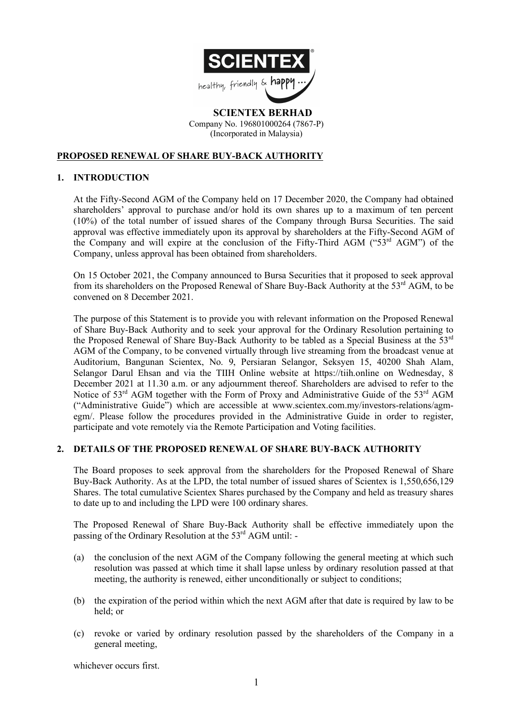

 **SCIENTEX BERHAD** Company No. 196801000264 (7867-P) (Incorporated in Malaysia)

# **PROPOSED RENEWAL OF SHARE BUY-BACK AUTHORITY**

### **1. INTRODUCTION**

At the Fifty-Second AGM of the Company held on 17 December 2020, the Company had obtained shareholders' approval to purchase and/or hold its own shares up to a maximum of ten percent (10%) of the total number of issued shares of the Company through Bursa Securities. The said approval was effective immediately upon its approval by shareholders at the Fifty-Second AGM of the Company and will expire at the conclusion of the Fifty-Third AGM ("53rd AGM") of the Company, unless approval has been obtained from shareholders.

On 15 October 2021, the Company announced to Bursa Securities that it proposed to seek approval from its shareholders on the Proposed Renewal of Share Buy-Back Authority at the 53<sup>rd</sup> AGM, to be convened on 8 December 2021.

The purpose of this Statement is to provide you with relevant information on the Proposed Renewal of Share Buy-Back Authority and to seek your approval for the Ordinary Resolution pertaining to the Proposed Renewal of Share Buy-Back Authority to be tabled as a Special Business at the 53rd AGM of the Company, to be convened virtually through live streaming from the broadcast venue at Auditorium, Bangunan Scientex, No. 9, Persiaran Selangor, Seksyen 15, 40200 Shah Alam, Selangor Darul Ehsan and via the TIIH Online website at https://tiih.online on Wednesday, 8 December 2021 at 11.30 a.m. or any adjournment thereof. Shareholders are advised to refer to the Notice of 53<sup>rd</sup> AGM together with the Form of Proxy and Administrative Guide of the 53<sup>rd</sup> AGM ("Administrative Guide") which are accessible at www.scientex.com.my/investors-relations/agmegm/. Please follow the procedures provided in the Administrative Guide in order to register, participate and vote remotely via the Remote Participation and Voting facilities.

### **2. DETAILS OF THE PROPOSED RENEWAL OF SHARE BUY-BACK AUTHORITY**

The Board proposes to seek approval from the shareholders for the Proposed Renewal of Share Buy-Back Authority. As at the LPD, the total number of issued shares of Scientex is 1,550,656,129 Shares. The total cumulative Scientex Shares purchased by the Company and held as treasury shares to date up to and including the LPD were 100 ordinary shares.

The Proposed Renewal of Share Buy-Back Authority shall be effective immediately upon the passing of the Ordinary Resolution at the 53<sup>rd</sup> AGM until: -

- (a) the conclusion of the next AGM of the Company following the general meeting at which such resolution was passed at which time it shall lapse unless by ordinary resolution passed at that meeting, the authority is renewed, either unconditionally or subject to conditions;
- (b) the expiration of the period within which the next AGM after that date is required by law to be held; or
- (c) revoke or varied by ordinary resolution passed by the shareholders of the Company in a general meeting,

whichever occurs first.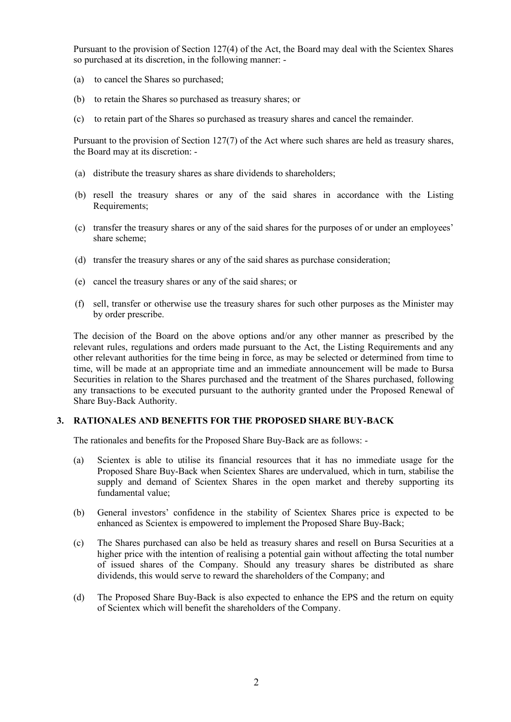Pursuant to the provision of Section 127(4) of the Act, the Board may deal with the Scientex Shares so purchased at its discretion, in the following manner: -

- (a) to cancel the Shares so purchased;
- (b) to retain the Shares so purchased as treasury shares; or
- (c) to retain part of the Shares so purchased as treasury shares and cancel the remainder.

Pursuant to the provision of Section 127(7) of the Act where such shares are held as treasury shares, the Board may at its discretion: -

- (a) distribute the treasury shares as share dividends to shareholders;
- (b) resell the treasury shares or any of the said shares in accordance with the Listing Requirements;
- (c) transfer the treasury shares or any of the said shares for the purposes of or under an employees' share scheme;
- (d) transfer the treasury shares or any of the said shares as purchase consideration;
- (e) cancel the treasury shares or any of the said shares; or
- (f) sell, transfer or otherwise use the treasury shares for such other purposes as the Minister may by order prescribe.

The decision of the Board on the above options and/or any other manner as prescribed by the relevant rules, regulations and orders made pursuant to the Act, the Listing Requirements and any other relevant authorities for the time being in force, as may be selected or determined from time to time, will be made at an appropriate time and an immediate announcement will be made to Bursa Securities in relation to the Shares purchased and the treatment of the Shares purchased, following any transactions to be executed pursuant to the authority granted under the Proposed Renewal of Share Buy-Back Authority.

### **3. RATIONALES AND BENEFITS FOR THE PROPOSED SHARE BUY-BACK**

The rationales and benefits for the Proposed Share Buy-Back are as follows: -

- (a) Scientex is able to utilise its financial resources that it has no immediate usage for the Proposed Share Buy-Back when Scientex Shares are undervalued, which in turn, stabilise the supply and demand of Scientex Shares in the open market and thereby supporting its fundamental value;
- (b) General investors' confidence in the stability of Scientex Shares price is expected to be enhanced as Scientex is empowered to implement the Proposed Share Buy-Back;
- (c) The Shares purchased can also be held as treasury shares and resell on Bursa Securities at a higher price with the intention of realising a potential gain without affecting the total number of issued shares of the Company. Should any treasury shares be distributed as share dividends, this would serve to reward the shareholders of the Company; and
- (d) The Proposed Share Buy-Back is also expected to enhance the EPS and the return on equity of Scientex which will benefit the shareholders of the Company.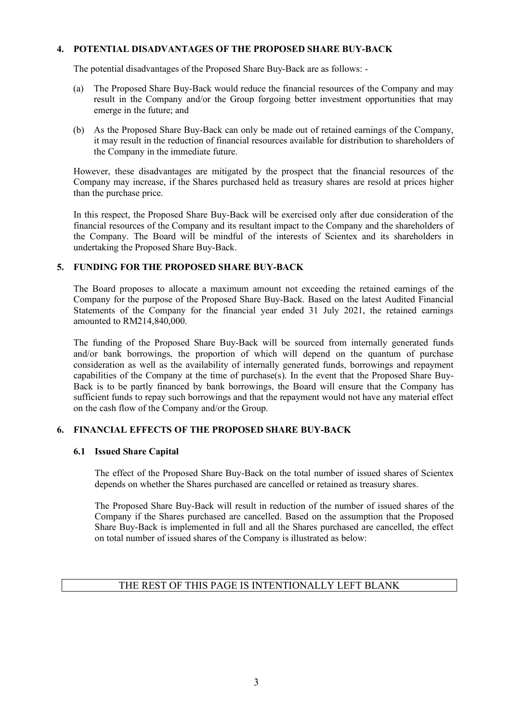### **4. POTENTIAL DISADVANTAGES OF THE PROPOSED SHARE BUY-BACK**

The potential disadvantages of the Proposed Share Buy-Back are as follows: -

- (a) The Proposed Share Buy-Back would reduce the financial resources of the Company and may result in the Company and/or the Group forgoing better investment opportunities that may emerge in the future; and
- (b) As the Proposed Share Buy-Back can only be made out of retained earnings of the Company, it may result in the reduction of financial resources available for distribution to shareholders of the Company in the immediate future.

However, these disadvantages are mitigated by the prospect that the financial resources of the Company may increase, if the Shares purchased held as treasury shares are resold at prices higher than the purchase price.

In this respect, the Proposed Share Buy-Back will be exercised only after due consideration of the financial resources of the Company and its resultant impact to the Company and the shareholders of the Company. The Board will be mindful of the interests of Scientex and its shareholders in undertaking the Proposed Share Buy-Back.

## **5. FUNDING FOR THE PROPOSED SHARE BUY-BACK**

The Board proposes to allocate a maximum amount not exceeding the retained earnings of the Company for the purpose of the Proposed Share Buy-Back. Based on the latest Audited Financial Statements of the Company for the financial year ended 31 July 2021, the retained earnings amounted to RM214,840,000.

The funding of the Proposed Share Buy-Back will be sourced from internally generated funds and/or bank borrowings, the proportion of which will depend on the quantum of purchase consideration as well as the availability of internally generated funds, borrowings and repayment capabilities of the Company at the time of purchase(s). In the event that the Proposed Share Buy-Back is to be partly financed by bank borrowings, the Board will ensure that the Company has sufficient funds to repay such borrowings and that the repayment would not have any material effect on the cash flow of the Company and/or the Group.

# **6. FINANCIAL EFFECTS OF THE PROPOSED SHARE BUY-BACK**

### **6.1 Issued Share Capital**

The effect of the Proposed Share Buy-Back on the total number of issued shares of Scientex depends on whether the Shares purchased are cancelled or retained as treasury shares.

The Proposed Share Buy-Back will result in reduction of the number of issued shares of the Company if the Shares purchased are cancelled. Based on the assumption that the Proposed Share Buy-Back is implemented in full and all the Shares purchased are cancelled, the effect on total number of issued shares of the Company is illustrated as below: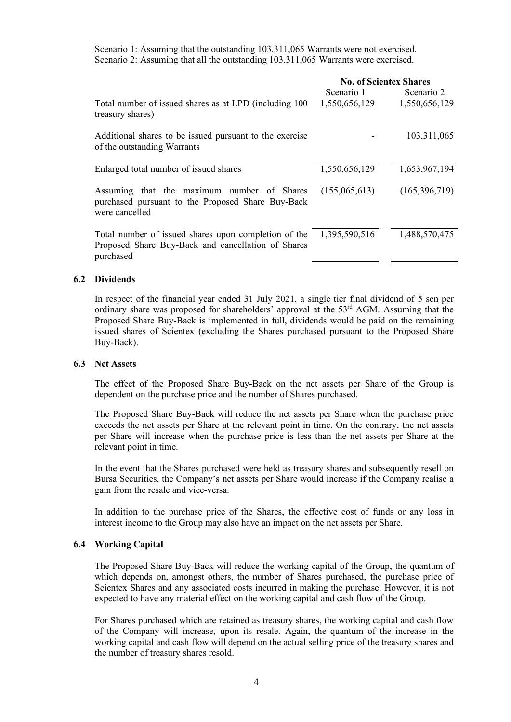Scenario 1: Assuming that the outstanding 103,311,065 Warrants were not exercised. Scenario 2: Assuming that all the outstanding 103,311,065 Warrants were exercised.

|                                                                                                                         | <b>No. of Scientex Shares</b> |                 |  |  |
|-------------------------------------------------------------------------------------------------------------------------|-------------------------------|-----------------|--|--|
|                                                                                                                         | Scenario 1                    | Scenario 2      |  |  |
| Total number of issued shares as at LPD (including 100)<br>treasury shares)                                             | 1,550,656,129                 | 1,550,656,129   |  |  |
| Additional shares to be issued pursuant to the exercise<br>of the outstanding Warrants                                  |                               | 103,311,065     |  |  |
| Enlarged total number of issued shares                                                                                  | 1,550,656,129                 | 1,653,967,194   |  |  |
| Assuming that the maximum number of Shares<br>purchased pursuant to the Proposed Share Buy-Back<br>were cancelled       | (155,065,613)                 | (165, 396, 719) |  |  |
| Total number of issued shares upon completion of the<br>Proposed Share Buy-Back and cancellation of Shares<br>purchased | 1,395,590,516                 | 1,488,570,475   |  |  |

### **6.2 Dividends**

In respect of the financial year ended 31 July 2021, a single tier final dividend of 5 sen per ordinary share was proposed for shareholders' approval at the 53<sup>rd</sup> AGM. Assuming that the Proposed Share Buy-Back is implemented in full, dividends would be paid on the remaining issued shares of Scientex (excluding the Shares purchased pursuant to the Proposed Share Buy-Back).

#### **6.3 Net Assets**

The effect of the Proposed Share Buy-Back on the net assets per Share of the Group is dependent on the purchase price and the number of Shares purchased.

The Proposed Share Buy-Back will reduce the net assets per Share when the purchase price exceeds the net assets per Share at the relevant point in time. On the contrary, the net assets per Share will increase when the purchase price is less than the net assets per Share at the relevant point in time.

In the event that the Shares purchased were held as treasury shares and subsequently resell on Bursa Securities, the Company's net assets per Share would increase if the Company realise a gain from the resale and vice-versa.

In addition to the purchase price of the Shares, the effective cost of funds or any loss in interest income to the Group may also have an impact on the net assets per Share.

### **6.4 Working Capital**

The Proposed Share Buy-Back will reduce the working capital of the Group, the quantum of which depends on, amongst others, the number of Shares purchased, the purchase price of Scientex Shares and any associated costs incurred in making the purchase. However, it is not expected to have any material effect on the working capital and cash flow of the Group.

For Shares purchased which are retained as treasury shares, the working capital and cash flow of the Company will increase, upon its resale. Again, the quantum of the increase in the working capital and cash flow will depend on the actual selling price of the treasury shares and the number of treasury shares resold.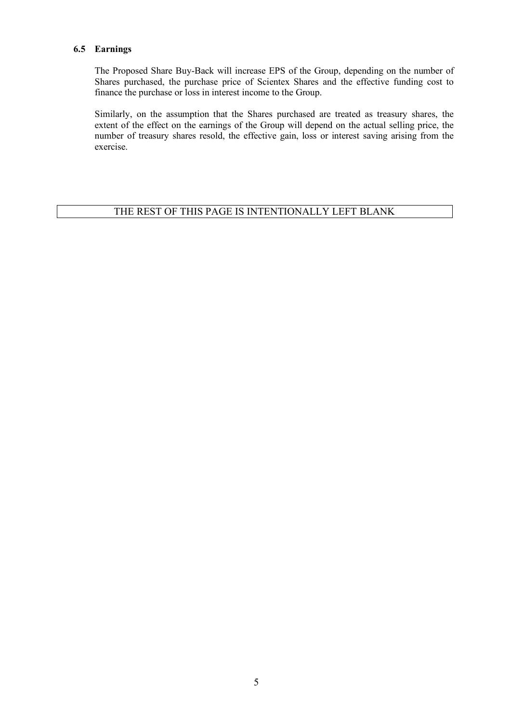### **6.5 Earnings**

The Proposed Share Buy-Back will increase EPS of the Group, depending on the number of Shares purchased, the purchase price of Scientex Shares and the effective funding cost to finance the purchase or loss in interest income to the Group.

Similarly, on the assumption that the Shares purchased are treated as treasury shares, the extent of the effect on the earnings of the Group will depend on the actual selling price, the number of treasury shares resold, the effective gain, loss or interest saving arising from the exercise.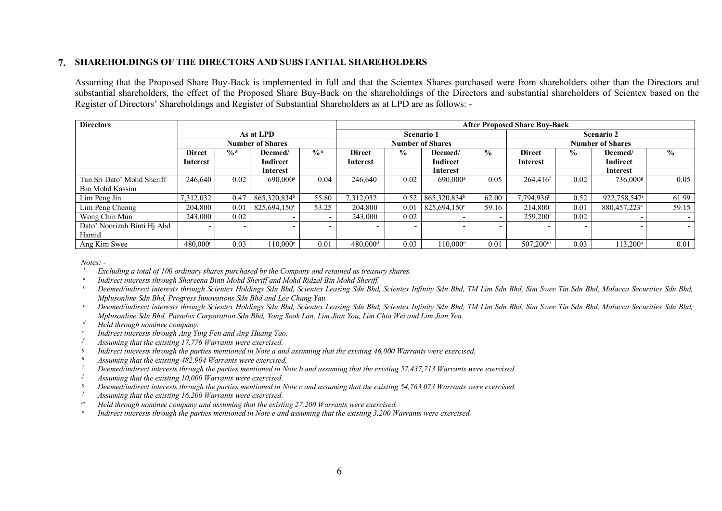### **7. SHAREHOLDINGS OF THE DIRECTORS AND SUBSTANTIAL SHAREHOLDERS**

Assuming that the Proposed Share Buy-Back is implemented in full and that the Scientex Shares purchased were from shareholders other than the Directors and substantial shareholders, the effect of the Proposed Share Buy-Back on the shareholdings of the Directors and substantial shareholders of Scientex based on the Register of Directors' Shareholdings and Register of Substantial Shareholders as at LPD are as follows: -

| <b>Directors</b>            |                         |                          |                          |                 | <b>After Proposed Share Buy-Back</b> |                                           |                          |       |                         |               |                          |                          |
|-----------------------------|-------------------------|--------------------------|--------------------------|-----------------|--------------------------------------|-------------------------------------------|--------------------------|-------|-------------------------|---------------|--------------------------|--------------------------|
|                             | As at LPD               |                          |                          |                 | <b>Scenario 1</b>                    |                                           |                          |       | <b>Scenario 2</b>       |               |                          |                          |
|                             | <b>Number of Shares</b> |                          |                          |                 | <b>Number of Shares</b>              |                                           |                          |       | <b>Number of Shares</b> |               |                          |                          |
|                             | <b>Direct</b>           | $\frac{6}{x}$            | Deemed/                  | $\frac{0}{6}$ * | <b>Direct</b>                        | $\frac{6}{9}$<br>$\frac{0}{0}$<br>Deemed/ |                          |       | <b>Direct</b>           | $\frac{6}{9}$ | $\frac{6}{9}$<br>Deemed/ |                          |
|                             | Interest                |                          | Indirect                 |                 | Interest                             |                                           | Indirect                 |       | Interest                |               | <b>Indirect</b>          |                          |
|                             |                         |                          | <b>Interest</b>          |                 |                                      |                                           | Interest                 |       |                         |               | <b>Interest</b>          |                          |
| Tan Sri Dato' Mohd Sheriff  | 246,640                 | 0.02                     | 690.000 <sup>a</sup>     | 0.04            | 246,640                              | 0.02                                      | 690,000 <sup>a</sup>     | 0.05  | $264,416$ <sup>f</sup>  | 0.02          | 736,000 <sup>g</sup>     | 0.05                     |
| <b>Bin Mohd Kassim</b>      |                         |                          |                          |                 |                                      |                                           |                          |       |                         |               |                          |                          |
| Lim Peng Jin                | 7,312,032               | 0.47                     | 865,320,834 <sup>b</sup> | 55.80           | 7,312,032                            | 0.52                                      | 865,320,834 <sup>b</sup> | 62.00 | 7,794,936h              | 0.52          | 922,758,547 <sup>i</sup> | 61.99                    |
| Lim Peng Cheong             | 204,800                 | 0.01                     | $825,694,150^{\circ}$    | 53.25           | 204,800                              | 0.01                                      | 825,694,150°             | 59.16 | 214,800                 | 0.01          | 880,457,223 <sup>k</sup> | 59.15                    |
| Wong Chin Mun               | 243,000                 | 0.02                     | $\overline{\phantom{0}}$ |                 | 243,000                              | 0.02                                      |                          |       | $259,200$ <sup>1</sup>  | 0.02          |                          | $\overline{\phantom{0}}$ |
| Dato' Noorizah Binti Hj Abd |                         | $\overline{\phantom{0}}$ | $\overline{\phantom{0}}$ |                 | $\overline{\phantom{0}}$             |                                           |                          |       |                         |               |                          | $\sim$                   |
| Hamid                       |                         |                          |                          |                 |                                      |                                           |                          |       |                         |               |                          |                          |
| Ang Kim Swee                | $480,000$ <sup>d</sup>  | 0.03                     | $110.000^e$              | 0.01            | $480,000$ <sup>d</sup>               | 0.03                                      | $110.000^e$              | 0.01  | 507.200 <sup>m</sup>    | 0.03          | 13.200 <sup>n</sup>      | 0.01                     |

*Notes: -*

- *\* Excluding a total of 100 ordinary shares purchased by the Company and retained as treasury shares.*
- *<sup>a</sup> Indirect interests through Shareena Binti Mohd Sheriff and Mohd Ridzal Bin Mohd Sheriff.*
- *Deemed/indirect interests through Scientex Holdings Sdn Bhd, Scientex Leasing Sdn Bhd, Scientex Infinity Sdn Bhd, TM Lim Sdn Bhd, Sim Swee Tin Sdn Bhd, Malacca Securities Sdn Bhd, Mplusonline Sdn Bhd, Progress Innovations Sdn Bhd and Lee Chung Yau. b*
- *Deemed/indirect interests through Scientex Holdings Sdn Bhd, Scientex Leasing Sdn Bhd, Scientex Infinity Sdn Bhd, TM Lim Sdn Bhd, Sim Swee Tin Sdn Bhd, Malacca Securities Sdn Bhd, Mplusonline Sdn Bhd, Paradox Corporation Sdn Bhd, Yong Sook Lan, Lim Jian You, Lim Chia Wei and Lim Jian Yen. c*
- *Held through nominee company. d*
- *Indirect interests through Ang Ying Fen and Ang Huang Yao. e*
- *Assuming that the existing 17,776 Warrants were exercised. f*
- *Indirect interests through the parties mentioned in Note a and assuming that the existing 46,000 Warrants were exercised. g*
- *<sup>h</sup> Assuming that the existing 482,904 Warrants were exercised.*
- *<sup>i</sup> Deemed/indirect interests through the parties mentioned in Note b and assuming that the existing 57,437,713 Warrants were exercised.*
- *j Assuming that the existing 10,000 Warrants were exercised.*<br>*k* Deemedindized interests through the parties mentioned in
- *k Deemed/indirect interests through the parties mentioned in Note c and assuming that the existing 54,763,073 Warrants were exercised.*<br>Assuming that the existing 16.200 *Warrants were exercised*
- *<sup>l</sup> Assuming that the existing 16,200 Warrants were exercised.*
- *<sup>m</sup> Held through nominee company and assuming that the existing 27,200 Warrants were exercised.*
- *<sup>n</sup> Indirect interests through the parties mentioned in Note e and assuming that the existing 3,200 Warrants were exercised.*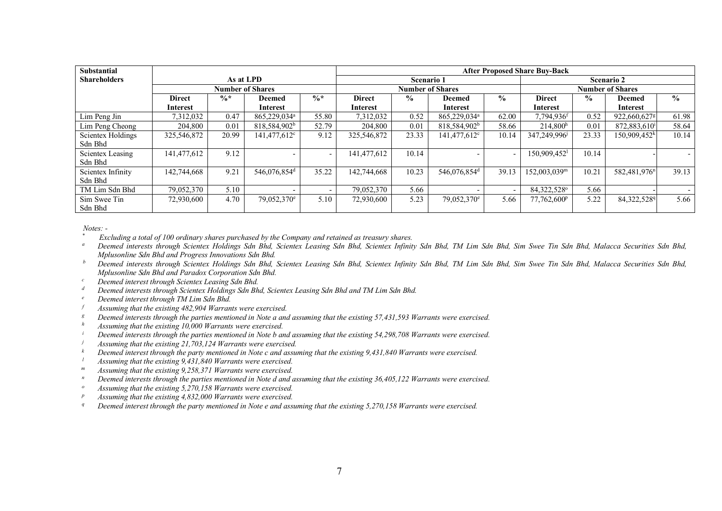| Substantial              |                         |                 | <b>After Proposed Share Buy-Back</b> |                 |                         |               |                          |               |                            |               |                          |               |
|--------------------------|-------------------------|-----------------|--------------------------------------|-----------------|-------------------------|---------------|--------------------------|---------------|----------------------------|---------------|--------------------------|---------------|
| <b>Shareholders</b>      | As at LPD               |                 |                                      |                 | <b>Scenario 1</b>       |               |                          |               | <b>Scenario 2</b>          |               |                          |               |
|                          | <b>Number of Shares</b> |                 |                                      |                 | <b>Number of Shares</b> |               |                          |               | <b>Number of Shares</b>    |               |                          |               |
|                          | <b>Direct</b>           | $\frac{0}{6}$ * | <b>Deemed</b>                        | $\frac{0}{6}$ * | <b>Direct</b>           | $\frac{0}{0}$ | <b>Deemed</b>            | $\frac{0}{0}$ | <b>Direct</b>              | $\frac{6}{9}$ | <b>Deemed</b>            | $\frac{0}{0}$ |
|                          | Interest                |                 | Interest                             |                 | Interest                |               | Interest                 |               | Interest                   |               | Interest                 |               |
| Lim Peng Jin             | 7,312,032               | 0.47            | 865,229,034 <sup>a</sup>             | 55.80           | 7,312,032               | 0.52          | 865,229,034 <sup>a</sup> | 62.00         | 7,794,936f                 | 0.52          | 922,660,627g             | 61.98         |
| Lim Peng Cheong          | 204,800                 | 0.01            | 818,584,902 <sup>b</sup>             | 52.79           | 204,800                 | 0.01          | 818,584,902 <sup>b</sup> | 58.66         | 214.800 <sup>h</sup>       | 0.01          | 872,883,610              | 58.64         |
| <b>Scientex Holdings</b> | 325,546,872             | 20.99           | 141,477,612 <sup>c</sup>             | 9.12            | 325,546,872             | 23.33         | 141,477,612 <sup>c</sup> | 10.14         | 347,249,996                | 23.33         | 150,909,452 <sup>k</sup> | 10.14         |
| Sdn Bhd                  |                         |                 |                                      |                 |                         |               |                          |               |                            |               |                          |               |
| Scientex Leasing         | 141,477,612             | 9.12            |                                      | $\sim$          | 141,477,612             | 10.14         |                          |               | $150,909,452$ <sup>1</sup> | 10.14         |                          |               |
| Sdn Bhd                  |                         |                 |                                      |                 |                         |               |                          |               |                            |               |                          |               |
| Scientex Infinity        | 142,744,668             | 9.21            | 546,076,854 <sup>d</sup>             | 35.22           | 142,744,668             | 10.23         | 546,076,854 <sup>d</sup> | 39.13         | 152,003,039m               | 10.21         | 582,481,976 <sup>n</sup> | 39.13         |
| Sdn Bhd                  |                         |                 |                                      |                 |                         |               |                          |               |                            |               |                          |               |
| TM Lim Sdn Bhd           | 79,052,370              | 5.10            |                                      |                 | 79,052,370              | 5.66          |                          |               | 84,322,528°                | 5.66          |                          |               |
| Sim Swee Tin             | 72,930,600              | 4.70            | 79,052,370 <sup>e</sup>              | 5.10            | 72,930,600              | 5.23          | 79,052,370 <sup>e</sup>  | 5.66          | 77,762,600 <sup>p</sup>    | 5.22          | 84,322,5289              | 5.66          |
| Sdn Bhd                  |                         |                 |                                      |                 |                         |               |                          |               |                            |               |                          |               |

*Notes: -*

*\* Excluding a total of 100 ordinary shares purchased by the Company and retained as treasury shares.*

*<sup>a</sup> Deemed interests through Scientex Holdings Sdn Bhd, Scientex Leasing Sdn Bhd, Scientex Infinity Sdn Bhd, TM Lim Sdn Bhd, Sim Swee Tin Sdn Bhd, Malacca Securities Sdn Bhd, Mplusonline Sdn Bhd and Progress Innovations Sdn Bhd.*

- *<sup>b</sup> Deemed interests through Scientex Holdings Sdn Bhd, Scientex Leasing Sdn Bhd, Scientex Infinity Sdn Bhd, TM Lim Sdn Bhd, Sim Swee Tin Sdn Bhd, Malacca Securities Sdn Bhd, Mplusonline Sdn Bhd and Paradox Corporation Sdn Bhd.*
- *<sup>c</sup> Deemed interest through Scientex Leasing Sdn Bhd.*
- *<sup>d</sup> Deemed interests through Scientex Holdings Sdn Bhd, Scientex Leasing Sdn Bhd and TM Lim Sdn Bhd.*
- *<sup>e</sup> Deemed interest through TM Lim Sdn Bhd.*
- *<sup>f</sup> Assuming that the existing 482,904 Warrants were exercised.*
- *<sup>g</sup> Deemed interests through the parties mentioned in Note a and assuming that the existing 57,431,593 Warrants were exercised.*
- *<sup>h</sup> Assuming that the existing 10,000 Warrants were exercised.*
- *<sup>i</sup> Deemed interests through the parties mentioned in Note b and assuming that the existing 54,298,708 Warrants were exercised.*
- *<sup>j</sup> Assuming that the existing 21,703,124 Warrants were exercised.*
- *<sup>k</sup> Deemed interest through the party mentioned in Note c and assuming that the existing 9,431,840 Warrants were exercised.*
- *<sup>l</sup> Assuming that the existing 9,431,840 Warrants were exercised.*
- *<sup>m</sup> Assuming that the existing 9,258,371 Warrants were exercised.*
- *n* Deemed interests through the parties mentioned in Note d and assuming that the existing 36,405,122 Warrants were exercised.
- Assuming that the existing 5,270,158 Warrants were exercised.
- *<sup>p</sup> Assuming that the existing 4,832,000 Warrants were exercised.*
- *<sup>q</sup> Deemed interest through the party mentioned in Note e and assuming that the existing 5,270,158 Warrants were exercised.*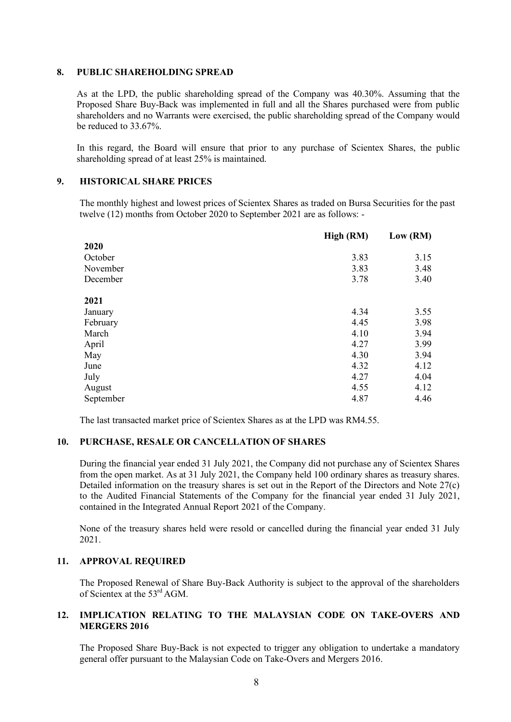#### **8. PUBLIC SHAREHOLDING SPREAD**

As at the LPD, the public shareholding spread of the Company was 40.30%. Assuming that the Proposed Share Buy-Back was implemented in full and all the Shares purchased were from public shareholders and no Warrants were exercised, the public shareholding spread of the Company would be reduced to 33.67%.

In this regard, the Board will ensure that prior to any purchase of Scientex Shares, the public shareholding spread of at least 25% is maintained.

### **9. HISTORICAL SHARE PRICES**

The monthly highest and lowest prices of Scientex Shares as traded on Bursa Securities for the past twelve (12) months from October 2020 to September 2021 are as follows: -

|           | High (RM) | Low (RM) |
|-----------|-----------|----------|
| 2020      |           |          |
| October   | 3.83      | 3.15     |
| November  | 3.83      | 3.48     |
| December  | 3.78      | 3.40     |
| 2021      |           |          |
| January   | 4.34      | 3.55     |
| February  | 4.45      | 3.98     |
| March     | 4.10      | 3.94     |
| April     | 4.27      | 3.99     |
| May       | 4.30      | 3.94     |
| June      | 4.32      | 4.12     |
| July      | 4.27      | 4.04     |
| August    | 4.55      | 4.12     |
| September | 4.87      | 4.46     |

The last transacted market price of Scientex Shares as at the LPD was RM4.55.

### **10. PURCHASE, RESALE OR CANCELLATION OF SHARES**

During the financial year ended 31 July 2021, the Company did not purchase any of Scientex Shares from the open market. As at 31 July 2021, the Company held 100 ordinary shares as treasury shares. Detailed information on the treasury shares is set out in the Report of the Directors and Note 27(c) to the Audited Financial Statements of the Company for the financial year ended 31 July 2021, contained in the Integrated Annual Report 2021 of the Company.

None of the treasury shares held were resold or cancelled during the financial year ended 31 July 2021.

### **11. APPROVAL REQUIRED**

The Proposed Renewal of Share Buy-Back Authority is subject to the approval of the shareholders of Scientex at the 53rd AGM.

### **12. IMPLICATION RELATING TO THE MALAYSIAN CODE ON TAKE-OVERS AND MERGERS 2016**

The Proposed Share Buy-Back is not expected to trigger any obligation to undertake a mandatory general offer pursuant to the Malaysian Code on Take-Overs and Mergers 2016.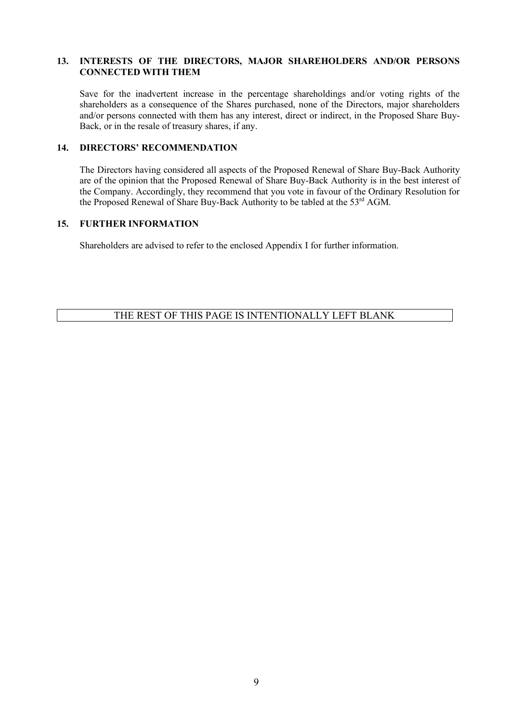### **13. INTERESTS OF THE DIRECTORS, MAJOR SHAREHOLDERS AND/OR PERSONS CONNECTED WITH THEM**

Save for the inadvertent increase in the percentage shareholdings and/or voting rights of the shareholders as a consequence of the Shares purchased, none of the Directors, major shareholders and/or persons connected with them has any interest, direct or indirect, in the Proposed Share Buy-Back, or in the resale of treasury shares, if any.

## **14. DIRECTORS' RECOMMENDATION**

The Directors having considered all aspects of the Proposed Renewal of Share Buy-Back Authority are of the opinion that the Proposed Renewal of Share Buy-Back Authority is in the best interest of the Company. Accordingly, they recommend that you vote in favour of the Ordinary Resolution for the Proposed Renewal of Share Buy-Back Authority to be tabled at the 53<sup>rd</sup> AGM.

### **15. FURTHER INFORMATION**

Shareholders are advised to refer to the enclosed Appendix I for further information.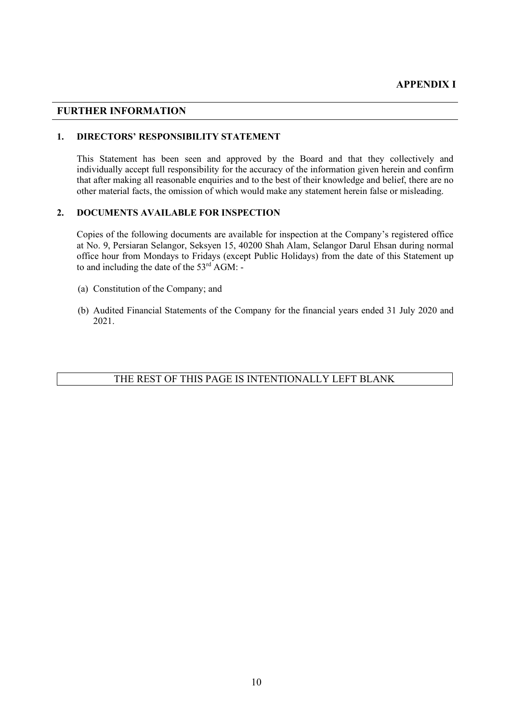### **FURTHER INFORMATION**

### **1. DIRECTORS' RESPONSIBILITY STATEMENT**

This Statement has been seen and approved by the Board and that they collectively and individually accept full responsibility for the accuracy of the information given herein and confirm that after making all reasonable enquiries and to the best of their knowledge and belief, there are no other material facts, the omission of which would make any statement herein false or misleading.

### **2. DOCUMENTS AVAILABLE FOR INSPECTION**

Copies of the following documents are available for inspection at the Company's registered office at No. 9, Persiaran Selangor, Seksyen 15, 40200 Shah Alam, Selangor Darul Ehsan during normal office hour from Mondays to Fridays (except Public Holidays) from the date of this Statement up to and including the date of the  $53<sup>rd</sup>$  AGM:  $-$ 

- (a) Constitution of the Company; and
- (b) Audited Financial Statements of the Company for the financial years ended 31 July 2020 and 2021.